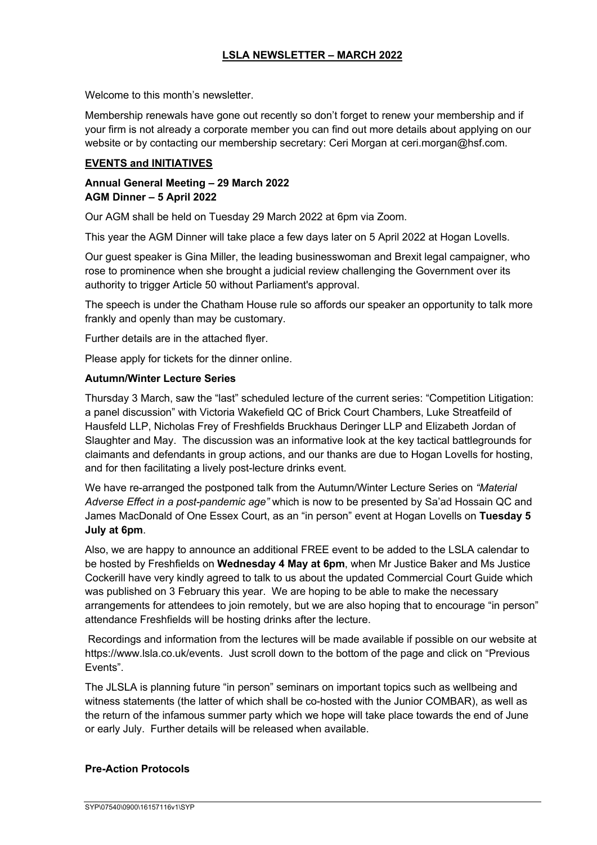# **LSLA NEWSLETTER – MARCH 2022**

Welcome to this month's newsletter.

Membership renewals have gone out recently so don't forget to renew your membership and if your firm is not already a corporate member you can find out more details about applying on our website or by contacting our membership secretary: Ceri Morgan at ceri.morgan@hsf.com.

### **EVENTS and INITIATIVES**

## **Annual General Meeting – 29 March 2022 AGM Dinner – 5 April 2022**

Our AGM shall be held on Tuesday 29 March 2022 at 6pm via Zoom.

This year the AGM Dinner will take place a few days later on 5 April 2022 at Hogan Lovells.

Our guest speaker is Gina Miller, the leading businesswoman and Brexit legal campaigner, who rose to prominence when she brought a judicial review challenging the Government over its authority to trigger Article 50 without Parliament's approval.

The speech is under the Chatham House rule so affords our speaker an opportunity to talk more frankly and openly than may be customary.

Further details are in the attached flyer.

Please apply for tickets for the dinner online.

### **Autumn/Winter Lecture Series**

Thursday 3 March, saw the "last" scheduled lecture of the current series: "Competition Litigation: a panel discussion" with Victoria Wakefield QC of Brick Court Chambers, Luke Streatfeild of Hausfeld LLP, Nicholas Frey of Freshfields Bruckhaus Deringer LLP and Elizabeth Jordan of Slaughter and May. The discussion was an informative look at the key tactical battlegrounds for claimants and defendants in group actions, and our thanks are due to Hogan Lovells for hosting, and for then facilitating a lively post-lecture drinks event.

We have re-arranged the postponed talk from the Autumn/Winter Lecture Series on *"Material Adverse Effect in a post-pandemic age"* which is now to be presented by Sa'ad Hossain QC and James MacDonald of One Essex Court, as an "in person" event at Hogan Lovells on **Tuesday 5 July at 6pm**.

Also, we are happy to announce an additional FREE event to be added to the LSLA calendar to be hosted by Freshfields on **Wednesday 4 May at 6pm**, when Mr Justice Baker and Ms Justice Cockerill have very kindly agreed to talk to us about the updated Commercial Court Guide which was published on 3 February this year. We are hoping to be able to make the necessary arrangements for attendees to join remotely, but we are also hoping that to encourage "in person" attendance Freshfields will be hosting drinks after the lecture.

Recordings and information from the lectures will be made available if possible on our website at https://www.lsla.co.uk/events. Just scroll down to the bottom of the page and click on "Previous Events".

The JLSLA is planning future "in person" seminars on important topics such as wellbeing and witness statements (the latter of which shall be co-hosted with the Junior COMBAR), as well as the return of the infamous summer party which we hope will take place towards the end of June or early July. Further details will be released when available.

## **Pre-Action Protocols**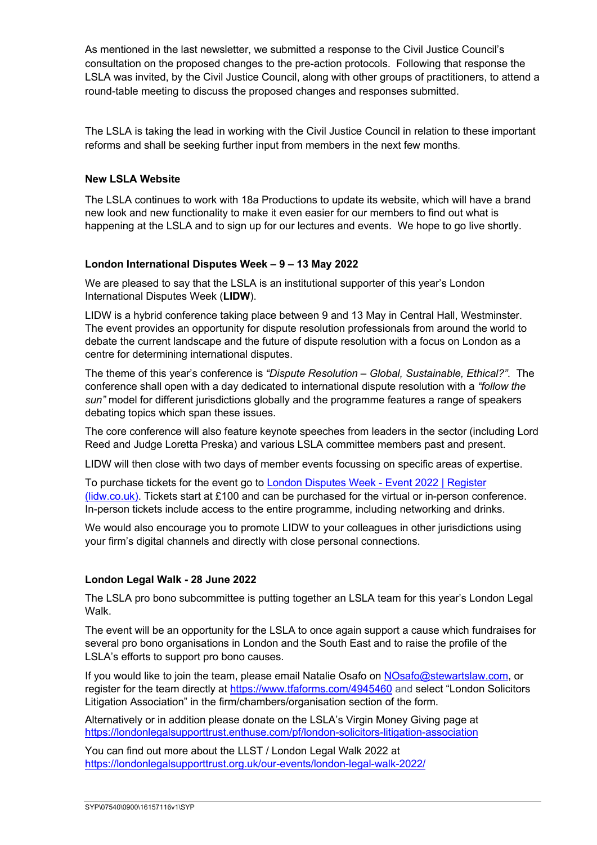As mentioned in the last newsletter, we submitted a response to the Civil Justice Council's consultation on the proposed changes to the pre-action protocols. Following that response the LSLA was invited, by the Civil Justice Council, along with other groups of practitioners, to attend a round-table meeting to discuss the proposed changes and responses submitted.

The LSLA is taking the lead in working with the Civil Justice Council in relation to these important reforms and shall be seeking further input from members in the next few months*.*

## **New LSLA Website**

The LSLA continues to work with 18a Productions to update its website, which will have a brand new look and new functionality to make it even easier for our members to find out what is happening at the LSLA and to sign up for our lectures and events. We hope to go live shortly.

### **London International Disputes Week – 9 – 13 May 2022**

We are pleased to say that the LSLA is an institutional supporter of this year's London International Disputes Week (**LIDW**).

LIDW is a hybrid conference taking place between 9 and 13 May in Central Hall, Westminster. The event provides an opportunity for dispute resolution professionals from around the world to debate the current landscape and the future of dispute resolution with a focus on London as a centre for determining international disputes.

The theme of this year's conference is *"Dispute Resolution – Global, Sustainable, Ethical?"*. The conference shall open with a day dedicated to international dispute resolution with a *"follow the sun"* model for different jurisdictions globally and the programme features a range of speakers debating topics which span these issues.

The core conference will also feature keynote speeches from leaders in the sector (including Lord Reed and Judge Loretta Preska) and various LSLA committee members past and present.

LIDW will then close with two days of member events focussing on specific areas of expertise.

To purchase tickets for the event go to London Disputes Week - Event 2022 | Register (lidw.co.uk). Tickets start at £100 and can be purchased for the virtual or in-person conference. In-person tickets include access to the entire programme, including networking and drinks.

We would also encourage you to promote LIDW to your colleagues in other jurisdictions using your firm's digital channels and directly with close personal connections.

#### **London Legal Walk - 28 June 2022**

The LSLA pro bono subcommittee is putting together an LSLA team for this year's London Legal Walk.

The event will be an opportunity for the LSLA to once again support a cause which fundraises for several pro bono organisations in London and the South East and to raise the profile of the LSLA's efforts to support pro bono causes.

If you would like to join the team, please email Natalie Osafo on NOsafo@stewartslaw.com, or register for the team directly at https://www.tfaforms.com/4945460 and select "London Solicitors Litigation Association" in the firm/chambers/organisation section of the form.

Alternatively or in addition please donate on the LSLA's Virgin Money Giving page at https://londonlegalsupporttrust.enthuse.com/pf/london-solicitors-litigation-association

You can find out more about the LLST / London Legal Walk 2022 at https://londonlegalsupporttrust.org.uk/our-events/london-legal-walk-2022/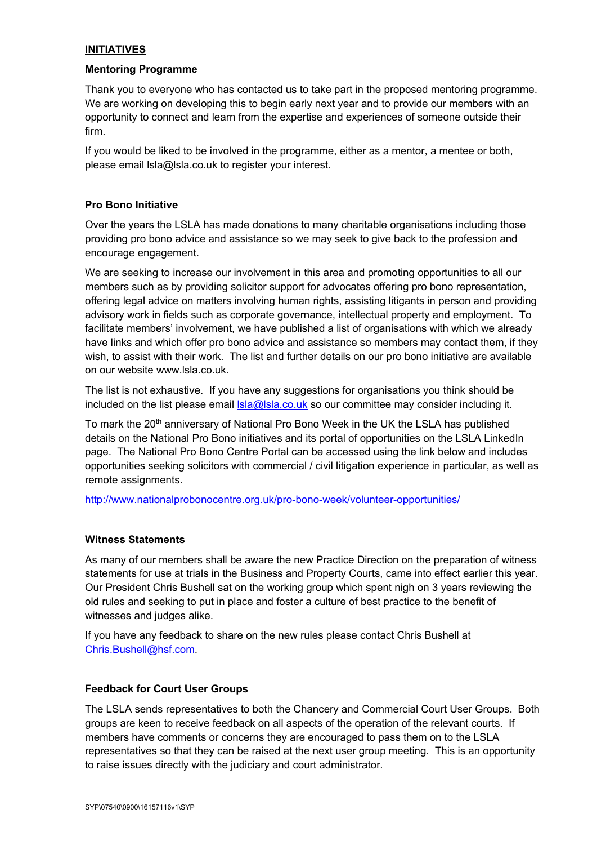# **INITIATIVES**

#### **Mentoring Programme**

Thank you to everyone who has contacted us to take part in the proposed mentoring programme. We are working on developing this to begin early next year and to provide our members with an opportunity to connect and learn from the expertise and experiences of someone outside their firm.

If you would be liked to be involved in the programme, either as a mentor, a mentee or both, please email lsla@lsla.co.uk to register your interest.

### **Pro Bono Initiative**

Over the years the LSLA has made donations to many charitable organisations including those providing pro bono advice and assistance so we may seek to give back to the profession and encourage engagement.

We are seeking to increase our involvement in this area and promoting opportunities to all our members such as by providing solicitor support for advocates offering pro bono representation, offering legal advice on matters involving human rights, assisting litigants in person and providing advisory work in fields such as corporate governance, intellectual property and employment. To facilitate members' involvement, we have published a list of organisations with which we already have links and which offer pro bono advice and assistance so members may contact them, if they wish, to assist with their work. The list and further details on our pro bono initiative are available on our website www.lsla.co.uk.

The list is not exhaustive. If you have any suggestions for organisations you think should be included on the list please email **sla@lsla.co.uk** so our committee may consider including it.

To mark the 20<sup>th</sup> anniversary of National Pro Bono Week in the UK the LSLA has published details on the National Pro Bono initiatives and its portal of opportunities on the LSLA LinkedIn page. The National Pro Bono Centre Portal can be accessed using the link below and includes opportunities seeking solicitors with commercial / civil litigation experience in particular, as well as remote assignments.

http://www.nationalprobonocentre.org.uk/pro-bono-week/volunteer-opportunities/

#### **Witness Statements**

As many of our members shall be aware the new Practice Direction on the preparation of witness statements for use at trials in the Business and Property Courts, came into effect earlier this year. Our President Chris Bushell sat on the working group which spent nigh on 3 years reviewing the old rules and seeking to put in place and foster a culture of best practice to the benefit of witnesses and judges alike.

If you have any feedback to share on the new rules please contact Chris Bushell at Chris.Bushell@hsf.com.

#### **Feedback for Court User Groups**

The LSLA sends representatives to both the Chancery and Commercial Court User Groups. Both groups are keen to receive feedback on all aspects of the operation of the relevant courts. If members have comments or concerns they are encouraged to pass them on to the LSLA representatives so that they can be raised at the next user group meeting. This is an opportunity to raise issues directly with the judiciary and court administrator.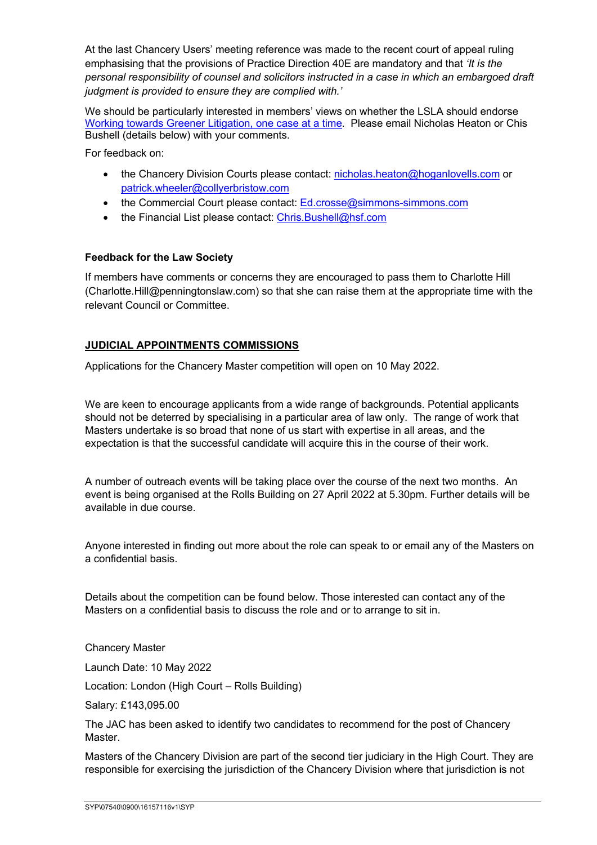At the last Chancery Users' meeting reference was made to the recent court of appeal ruling emphasising that the provisions of Practice Direction 40E are mandatory and that *'It is the personal responsibility of counsel and solicitors instructed in a case in which an embargoed draft judgment is provided to ensure they are complied with.'*

We should be particularly interested in members' views on whether the LSLA should endorse Working towards Greener Litigation, one case at a time. Please email Nicholas Heaton or Chis Bushell (details below) with your comments.

For feedback on:

- the Chancery Division Courts please contact: nicholas.heaton@hoganlovells.com or patrick.wheeler@collyerbristow.com
- the Commercial Court please contact: Ed.crosse@simmons-simmons.com
- the Financial List please contact: Chris.Bushell@hsf.com

### **Feedback for the Law Society**

If members have comments or concerns they are encouraged to pass them to Charlotte Hill (Charlotte.Hill@penningtonslaw.com) so that she can raise them at the appropriate time with the relevant Council or Committee.

### **JUDICIAL APPOINTMENTS COMMISSIONS**

Applications for the Chancery Master competition will open on 10 May 2022.

We are keen to encourage applicants from a wide range of backgrounds. Potential applicants should not be deterred by specialising in a particular area of law only. The range of work that Masters undertake is so broad that none of us start with expertise in all areas, and the expectation is that the successful candidate will acquire this in the course of their work.

A number of outreach events will be taking place over the course of the next two months. An event is being organised at the Rolls Building on 27 April 2022 at 5.30pm. Further details will be available in due course.

Anyone interested in finding out more about the role can speak to or email any of the Masters on a confidential basis.

Details about the competition can be found below. Those interested can contact any of the Masters on a confidential basis to discuss the role and or to arrange to sit in.

Chancery Master

Launch Date: 10 May 2022

Location: London (High Court – Rolls Building)

Salary: £143,095.00

The JAC has been asked to identify two candidates to recommend for the post of Chancery Master.

Masters of the Chancery Division are part of the second tier judiciary in the High Court. They are responsible for exercising the jurisdiction of the Chancery Division where that jurisdiction is not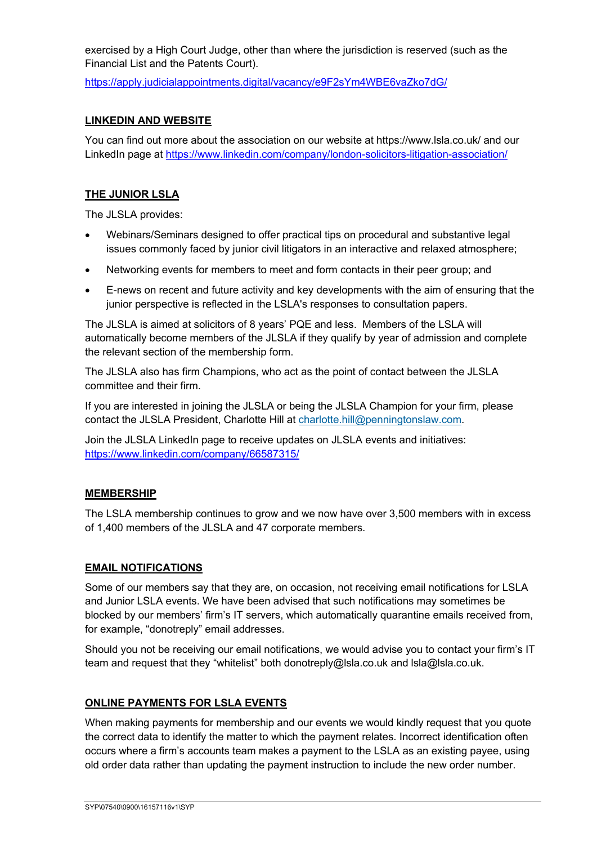exercised by a High Court Judge, other than where the jurisdiction is reserved (such as the Financial List and the Patents Court).

https://apply.judicialappointments.digital/vacancy/e9F2sYm4WBE6vaZko7dG/

## **LINKEDIN AND WEBSITE**

You can find out more about the association on our website at https://www.lsla.co.uk/ and our LinkedIn page at https://www.linkedin.com/company/london-solicitors-litigation-association/

# **THE JUNIOR LSLA**

The JLSLA provides:

- Webinars/Seminars designed to offer practical tips on procedural and substantive legal issues commonly faced by junior civil litigators in an interactive and relaxed atmosphere;
- Networking events for members to meet and form contacts in their peer group; and
- E-news on recent and future activity and key developments with the aim of ensuring that the junior perspective is reflected in the LSLA's responses to consultation papers.

The JLSLA is aimed at solicitors of 8 years' PQE and less. Members of the LSLA will automatically become members of the JLSLA if they qualify by year of admission and complete the relevant section of the membership form.

The JLSLA also has firm Champions, who act as the point of contact between the JLSLA committee and their firm.

If you are interested in joining the JLSLA or being the JLSLA Champion for your firm, please contact the JLSLA President, Charlotte Hill at charlotte.hill@penningtonslaw.com.

Join the JLSLA LinkedIn page to receive updates on JLSLA events and initiatives: https://www.linkedin.com/company/66587315/

## **MEMBERSHIP**

The LSLA membership continues to grow and we now have over 3,500 members with in excess of 1,400 members of the JLSLA and 47 corporate members.

## **EMAIL NOTIFICATIONS**

Some of our members say that they are, on occasion, not receiving email notifications for LSLA and Junior LSLA events. We have been advised that such notifications may sometimes be blocked by our members' firm's IT servers, which automatically quarantine emails received from, for example, "donotreply" email addresses.

Should you not be receiving our email notifications, we would advise you to contact your firm's IT team and request that they "whitelist" both donotreply@lsla.co.uk and lsla@lsla.co.uk.

#### **ONLINE PAYMENTS FOR LSLA EVENTS**

When making payments for membership and our events we would kindly request that you quote the correct data to identify the matter to which the payment relates. Incorrect identification often occurs where a firm's accounts team makes a payment to the LSLA as an existing payee, using old order data rather than updating the payment instruction to include the new order number.